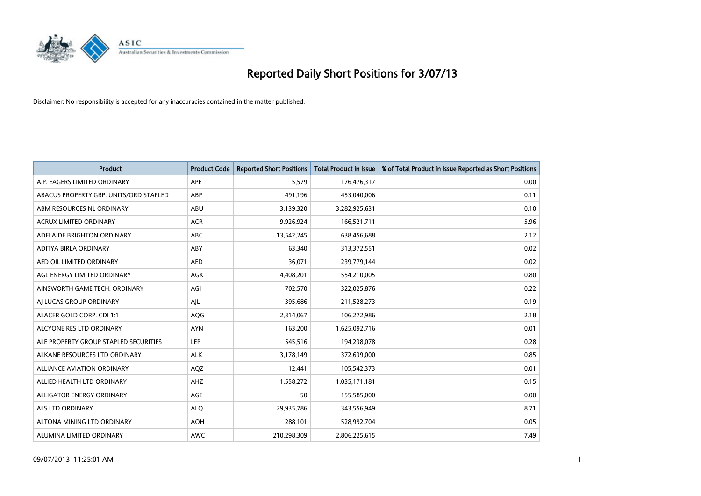

| <b>Product</b>                         | <b>Product Code</b> | <b>Reported Short Positions</b> | <b>Total Product in Issue</b> | % of Total Product in Issue Reported as Short Positions |
|----------------------------------------|---------------------|---------------------------------|-------------------------------|---------------------------------------------------------|
| A.P. EAGERS LIMITED ORDINARY           | APE                 | 5,579                           | 176,476,317                   | 0.00                                                    |
| ABACUS PROPERTY GRP. UNITS/ORD STAPLED | ABP                 | 491,196                         | 453,040,006                   | 0.11                                                    |
| ABM RESOURCES NL ORDINARY              | ABU                 | 3,139,320                       | 3,282,925,631                 | 0.10                                                    |
| ACRUX LIMITED ORDINARY                 | <b>ACR</b>          | 9,926,924                       | 166,521,711                   | 5.96                                                    |
| ADELAIDE BRIGHTON ORDINARY             | <b>ABC</b>          | 13,542,245                      | 638,456,688                   | 2.12                                                    |
| ADITYA BIRLA ORDINARY                  | ABY                 | 63,340                          | 313,372,551                   | 0.02                                                    |
| AED OIL LIMITED ORDINARY               | <b>AED</b>          | 36.071                          | 239,779,144                   | 0.02                                                    |
| AGL ENERGY LIMITED ORDINARY            | AGK                 | 4,408,201                       | 554,210,005                   | 0.80                                                    |
| AINSWORTH GAME TECH. ORDINARY          | AGI                 | 702,570                         | 322,025,876                   | 0.22                                                    |
| AI LUCAS GROUP ORDINARY                | AJL                 | 395,686                         | 211,528,273                   | 0.19                                                    |
| ALACER GOLD CORP. CDI 1:1              | AQG                 | 2,314,067                       | 106,272,986                   | 2.18                                                    |
| ALCYONE RES LTD ORDINARY               | <b>AYN</b>          | 163,200                         | 1,625,092,716                 | 0.01                                                    |
| ALE PROPERTY GROUP STAPLED SECURITIES  | LEP                 | 545,516                         | 194,238,078                   | 0.28                                                    |
| ALKANE RESOURCES LTD ORDINARY          | <b>ALK</b>          | 3,178,149                       | 372,639,000                   | 0.85                                                    |
| ALLIANCE AVIATION ORDINARY             | AQZ                 | 12,441                          | 105,542,373                   | 0.01                                                    |
| ALLIED HEALTH LTD ORDINARY             | AHZ                 | 1,558,272                       | 1,035,171,181                 | 0.15                                                    |
| ALLIGATOR ENERGY ORDINARY              | AGE                 | 50                              | 155,585,000                   | 0.00                                                    |
| ALS LTD ORDINARY                       | <b>ALO</b>          | 29,935,786                      | 343,556,949                   | 8.71                                                    |
| ALTONA MINING LTD ORDINARY             | <b>AOH</b>          | 288,101                         | 528,992,704                   | 0.05                                                    |
| ALUMINA LIMITED ORDINARY               | <b>AWC</b>          | 210,298,309                     | 2,806,225,615                 | 7.49                                                    |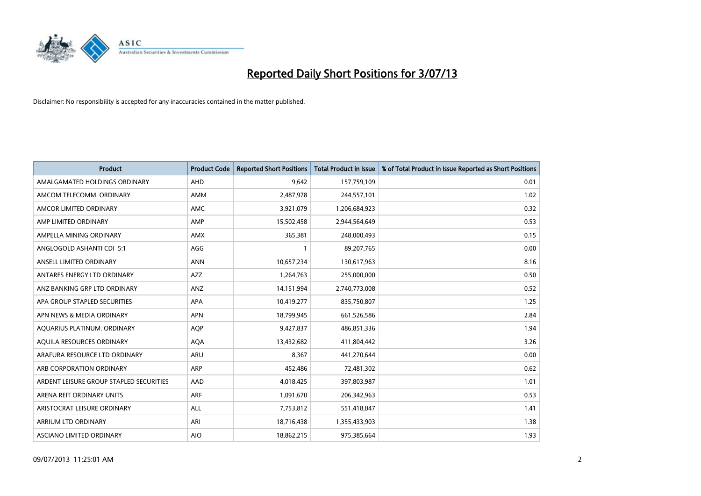

| <b>Product</b>                          | <b>Product Code</b> | <b>Reported Short Positions</b> | <b>Total Product in Issue</b> | % of Total Product in Issue Reported as Short Positions |
|-----------------------------------------|---------------------|---------------------------------|-------------------------------|---------------------------------------------------------|
| AMALGAMATED HOLDINGS ORDINARY           | AHD                 | 9,642                           | 157,759,109                   | 0.01                                                    |
| AMCOM TELECOMM, ORDINARY                | AMM                 | 2,487,978                       | 244,557,101                   | 1.02                                                    |
| AMCOR LIMITED ORDINARY                  | AMC                 | 3,921,079                       | 1,206,684,923                 | 0.32                                                    |
| AMP LIMITED ORDINARY                    | AMP                 | 15,502,458                      | 2,944,564,649                 | 0.53                                                    |
| AMPELLA MINING ORDINARY                 | AMX                 | 365,381                         | 248,000,493                   | 0.15                                                    |
| ANGLOGOLD ASHANTI CDI 5:1               | AGG                 | $\mathbf{1}$                    | 89,207,765                    | 0.00                                                    |
| ANSELL LIMITED ORDINARY                 | <b>ANN</b>          | 10,657,234                      | 130,617,963                   | 8.16                                                    |
| ANTARES ENERGY LTD ORDINARY             | AZZ                 | 1,264,763                       | 255,000,000                   | 0.50                                                    |
| ANZ BANKING GRP LTD ORDINARY            | ANZ                 | 14,151,994                      | 2,740,773,008                 | 0.52                                                    |
| APA GROUP STAPLED SECURITIES            | <b>APA</b>          | 10,419,277                      | 835,750,807                   | 1.25                                                    |
| APN NEWS & MEDIA ORDINARY               | <b>APN</b>          | 18,799,945                      | 661,526,586                   | 2.84                                                    |
| AQUARIUS PLATINUM. ORDINARY             | <b>AOP</b>          | 9,427,837                       | 486,851,336                   | 1.94                                                    |
| AQUILA RESOURCES ORDINARY               | <b>AQA</b>          | 13,432,682                      | 411,804,442                   | 3.26                                                    |
| ARAFURA RESOURCE LTD ORDINARY           | ARU                 | 8,367                           | 441,270,644                   | 0.00                                                    |
| ARB CORPORATION ORDINARY                | ARP                 | 452,486                         | 72,481,302                    | 0.62                                                    |
| ARDENT LEISURE GROUP STAPLED SECURITIES | AAD                 | 4,018,425                       | 397,803,987                   | 1.01                                                    |
| ARENA REIT ORDINARY UNITS               | <b>ARF</b>          | 1,091,670                       | 206,342,963                   | 0.53                                                    |
| ARISTOCRAT LEISURE ORDINARY             | <b>ALL</b>          | 7,753,812                       | 551,418,047                   | 1.41                                                    |
| ARRIUM LTD ORDINARY                     | ARI                 | 18,716,438                      | 1,355,433,903                 | 1.38                                                    |
| ASCIANO LIMITED ORDINARY                | <b>AIO</b>          | 18,862,215                      | 975,385,664                   | 1.93                                                    |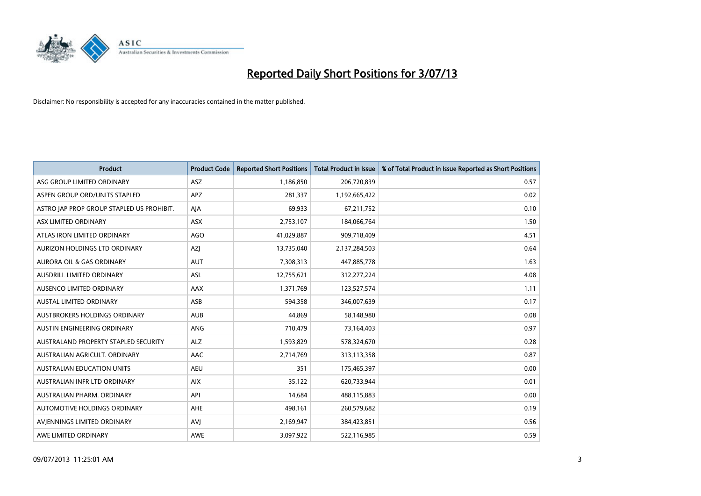

| <b>Product</b>                            | <b>Product Code</b> | <b>Reported Short Positions</b> | <b>Total Product in Issue</b> | % of Total Product in Issue Reported as Short Positions |
|-------------------------------------------|---------------------|---------------------------------|-------------------------------|---------------------------------------------------------|
| ASG GROUP LIMITED ORDINARY                | ASZ                 | 1,186,850                       | 206,720,839                   | 0.57                                                    |
| ASPEN GROUP ORD/UNITS STAPLED             | APZ                 | 281,337                         | 1,192,665,422                 | 0.02                                                    |
| ASTRO JAP PROP GROUP STAPLED US PROHIBIT. | AJA                 | 69,933                          | 67,211,752                    | 0.10                                                    |
| ASX LIMITED ORDINARY                      | ASX                 | 2,753,107                       | 184,066,764                   | 1.50                                                    |
| ATLAS IRON LIMITED ORDINARY               | AGO                 | 41,029,887                      | 909,718,409                   | 4.51                                                    |
| AURIZON HOLDINGS LTD ORDINARY             | AZJ                 | 13,735,040                      | 2,137,284,503                 | 0.64                                                    |
| AURORA OIL & GAS ORDINARY                 | <b>AUT</b>          | 7,308,313                       | 447,885,778                   | 1.63                                                    |
| AUSDRILL LIMITED ORDINARY                 | ASL                 | 12,755,621                      | 312,277,224                   | 4.08                                                    |
| AUSENCO LIMITED ORDINARY                  | AAX                 | 1,371,769                       | 123,527,574                   | 1.11                                                    |
| <b>AUSTAL LIMITED ORDINARY</b>            | ASB                 | 594,358                         | 346,007,639                   | 0.17                                                    |
| AUSTBROKERS HOLDINGS ORDINARY             | <b>AUB</b>          | 44,869                          | 58,148,980                    | 0.08                                                    |
| AUSTIN ENGINEERING ORDINARY               | ANG                 | 710,479                         | 73,164,403                    | 0.97                                                    |
| AUSTRALAND PROPERTY STAPLED SECURITY      | <b>ALZ</b>          | 1,593,829                       | 578,324,670                   | 0.28                                                    |
| AUSTRALIAN AGRICULT, ORDINARY             | AAC                 | 2,714,769                       | 313,113,358                   | 0.87                                                    |
| <b>AUSTRALIAN EDUCATION UNITS</b>         | <b>AEU</b>          | 351                             | 175,465,397                   | 0.00                                                    |
| AUSTRALIAN INFR LTD ORDINARY              | <b>AIX</b>          | 35,122                          | 620,733,944                   | 0.01                                                    |
| AUSTRALIAN PHARM. ORDINARY                | API                 | 14,684                          | 488,115,883                   | 0.00                                                    |
| AUTOMOTIVE HOLDINGS ORDINARY              | AHE                 | 498,161                         | 260,579,682                   | 0.19                                                    |
| AVIENNINGS LIMITED ORDINARY               | <b>AVJ</b>          | 2,169,947                       | 384,423,851                   | 0.56                                                    |
| AWE LIMITED ORDINARY                      | <b>AWE</b>          | 3,097,922                       | 522,116,985                   | 0.59                                                    |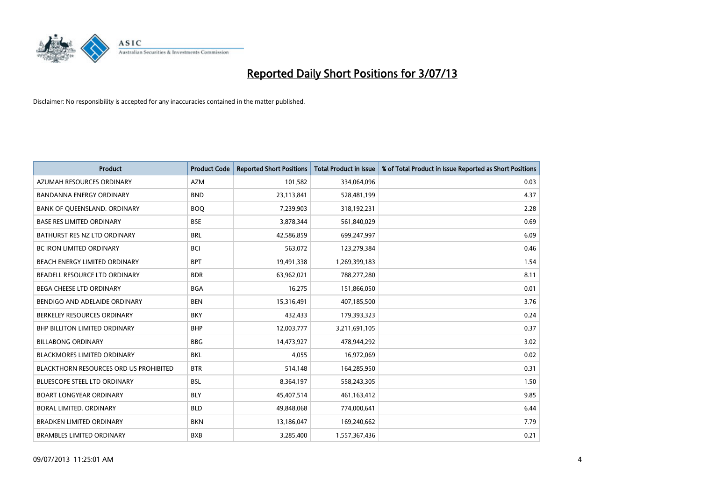

| <b>Product</b>                                | <b>Product Code</b> | <b>Reported Short Positions</b> | <b>Total Product in Issue</b> | % of Total Product in Issue Reported as Short Positions |
|-----------------------------------------------|---------------------|---------------------------------|-------------------------------|---------------------------------------------------------|
| AZUMAH RESOURCES ORDINARY                     | <b>AZM</b>          | 101,582                         | 334,064,096                   | 0.03                                                    |
| BANDANNA ENERGY ORDINARY                      | <b>BND</b>          | 23,113,841                      | 528,481,199                   | 4.37                                                    |
| BANK OF QUEENSLAND. ORDINARY                  | <b>BOQ</b>          | 7,239,903                       | 318,192,231                   | 2.28                                                    |
| <b>BASE RES LIMITED ORDINARY</b>              | <b>BSE</b>          | 3,878,344                       | 561,840,029                   | 0.69                                                    |
| BATHURST RES NZ LTD ORDINARY                  | <b>BRL</b>          | 42,586,859                      | 699,247,997                   | 6.09                                                    |
| <b>BC IRON LIMITED ORDINARY</b>               | <b>BCI</b>          | 563,072                         | 123,279,384                   | 0.46                                                    |
| BEACH ENERGY LIMITED ORDINARY                 | <b>BPT</b>          | 19,491,338                      | 1,269,399,183                 | 1.54                                                    |
| BEADELL RESOURCE LTD ORDINARY                 | <b>BDR</b>          | 63,962,021                      | 788,277,280                   | 8.11                                                    |
| BEGA CHEESE LTD ORDINARY                      | <b>BGA</b>          | 16,275                          | 151,866,050                   | 0.01                                                    |
| BENDIGO AND ADELAIDE ORDINARY                 | <b>BEN</b>          | 15,316,491                      | 407,185,500                   | 3.76                                                    |
| BERKELEY RESOURCES ORDINARY                   | <b>BKY</b>          | 432,433                         | 179,393,323                   | 0.24                                                    |
| BHP BILLITON LIMITED ORDINARY                 | <b>BHP</b>          | 12,003,777                      | 3,211,691,105                 | 0.37                                                    |
| <b>BILLABONG ORDINARY</b>                     | <b>BBG</b>          | 14,473,927                      | 478,944,292                   | 3.02                                                    |
| <b>BLACKMORES LIMITED ORDINARY</b>            | <b>BKL</b>          | 4,055                           | 16,972,069                    | 0.02                                                    |
| <b>BLACKTHORN RESOURCES ORD US PROHIBITED</b> | <b>BTR</b>          | 514,148                         | 164,285,950                   | 0.31                                                    |
| BLUESCOPE STEEL LTD ORDINARY                  | <b>BSL</b>          | 8,364,197                       | 558,243,305                   | 1.50                                                    |
| <b>BOART LONGYEAR ORDINARY</b>                | <b>BLY</b>          | 45,407,514                      | 461,163,412                   | 9.85                                                    |
| BORAL LIMITED, ORDINARY                       | <b>BLD</b>          | 49,848,068                      | 774,000,641                   | 6.44                                                    |
| <b>BRADKEN LIMITED ORDINARY</b>               | <b>BKN</b>          | 13,186,047                      | 169,240,662                   | 7.79                                                    |
| <b>BRAMBLES LIMITED ORDINARY</b>              | <b>BXB</b>          | 3,285,400                       | 1,557,367,436                 | 0.21                                                    |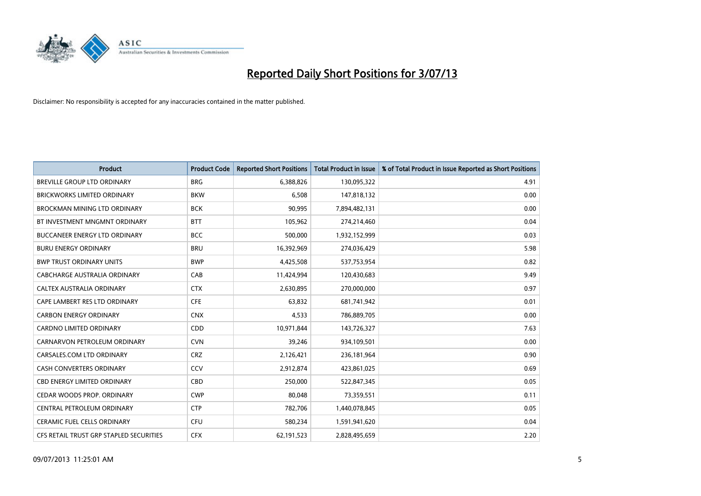

| <b>Product</b>                          | <b>Product Code</b> | <b>Reported Short Positions</b> | <b>Total Product in Issue</b> | % of Total Product in Issue Reported as Short Positions |
|-----------------------------------------|---------------------|---------------------------------|-------------------------------|---------------------------------------------------------|
| <b>BREVILLE GROUP LTD ORDINARY</b>      | <b>BRG</b>          | 6,388,826                       | 130,095,322                   | 4.91                                                    |
| BRICKWORKS LIMITED ORDINARY             | <b>BKW</b>          | 6,508                           | 147,818,132                   | 0.00                                                    |
| BROCKMAN MINING LTD ORDINARY            | <b>BCK</b>          | 90,995                          | 7,894,482,131                 | 0.00                                                    |
| BT INVESTMENT MNGMNT ORDINARY           | <b>BTT</b>          | 105,962                         | 274,214,460                   | 0.04                                                    |
| <b>BUCCANEER ENERGY LTD ORDINARY</b>    | <b>BCC</b>          | 500,000                         | 1,932,152,999                 | 0.03                                                    |
| <b>BURU ENERGY ORDINARY</b>             | <b>BRU</b>          | 16,392,969                      | 274,036,429                   | 5.98                                                    |
| <b>BWP TRUST ORDINARY UNITS</b>         | <b>BWP</b>          | 4,425,508                       | 537,753,954                   | 0.82                                                    |
| <b>CABCHARGE AUSTRALIA ORDINARY</b>     | CAB                 | 11,424,994                      | 120,430,683                   | 9.49                                                    |
| CALTEX AUSTRALIA ORDINARY               | <b>CTX</b>          | 2,630,895                       | 270,000,000                   | 0.97                                                    |
| CAPE LAMBERT RES LTD ORDINARY           | <b>CFE</b>          | 63,832                          | 681,741,942                   | 0.01                                                    |
| <b>CARBON ENERGY ORDINARY</b>           | <b>CNX</b>          | 4,533                           | 786,889,705                   | 0.00                                                    |
| <b>CARDNO LIMITED ORDINARY</b>          | CDD                 | 10,971,844                      | 143,726,327                   | 7.63                                                    |
| CARNARVON PETROLEUM ORDINARY            | <b>CVN</b>          | 39,246                          | 934,109,501                   | 0.00                                                    |
| CARSALES.COM LTD ORDINARY               | <b>CRZ</b>          | 2,126,421                       | 236,181,964                   | 0.90                                                    |
| <b>CASH CONVERTERS ORDINARY</b>         | CCV                 | 2,912,874                       | 423,861,025                   | 0.69                                                    |
| CBD ENERGY LIMITED ORDINARY             | CBD                 | 250,000                         | 522,847,345                   | 0.05                                                    |
| CEDAR WOODS PROP. ORDINARY              | <b>CWP</b>          | 80,048                          | 73,359,551                    | 0.11                                                    |
| CENTRAL PETROLEUM ORDINARY              | <b>CTP</b>          | 782,706                         | 1,440,078,845                 | 0.05                                                    |
| <b>CERAMIC FUEL CELLS ORDINARY</b>      | <b>CFU</b>          | 580,234                         | 1,591,941,620                 | 0.04                                                    |
| CFS RETAIL TRUST GRP STAPLED SECURITIES | <b>CFX</b>          | 62,191,523                      | 2,828,495,659                 | 2.20                                                    |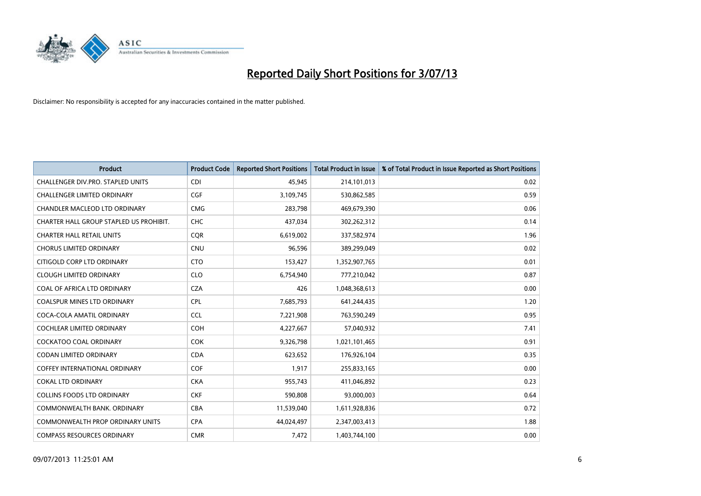

| <b>Product</b>                          | <b>Product Code</b> | <b>Reported Short Positions</b> | <b>Total Product in Issue</b> | % of Total Product in Issue Reported as Short Positions |
|-----------------------------------------|---------------------|---------------------------------|-------------------------------|---------------------------------------------------------|
| CHALLENGER DIV.PRO. STAPLED UNITS       | <b>CDI</b>          | 45,945                          | 214,101,013                   | 0.02                                                    |
| CHALLENGER LIMITED ORDINARY             | <b>CGF</b>          | 3,109,745                       | 530,862,585                   | 0.59                                                    |
| CHANDLER MACLEOD LTD ORDINARY           | <b>CMG</b>          | 283,798                         | 469,679,390                   | 0.06                                                    |
| CHARTER HALL GROUP STAPLED US PROHIBIT. | <b>CHC</b>          | 437,034                         | 302,262,312                   | 0.14                                                    |
| <b>CHARTER HALL RETAIL UNITS</b>        | <b>COR</b>          | 6,619,002                       | 337,582,974                   | 1.96                                                    |
| <b>CHORUS LIMITED ORDINARY</b>          | <b>CNU</b>          | 96,596                          | 389,299,049                   | 0.02                                                    |
| CITIGOLD CORP LTD ORDINARY              | <b>CTO</b>          | 153,427                         | 1,352,907,765                 | 0.01                                                    |
| <b>CLOUGH LIMITED ORDINARY</b>          | <b>CLO</b>          | 6,754,940                       | 777,210,042                   | 0.87                                                    |
| COAL OF AFRICA LTD ORDINARY             | <b>CZA</b>          | 426                             | 1,048,368,613                 | 0.00                                                    |
| <b>COALSPUR MINES LTD ORDINARY</b>      | <b>CPL</b>          | 7,685,793                       | 641,244,435                   | 1.20                                                    |
| COCA-COLA AMATIL ORDINARY               | <b>CCL</b>          | 7,221,908                       | 763,590,249                   | 0.95                                                    |
| <b>COCHLEAR LIMITED ORDINARY</b>        | <b>COH</b>          | 4,227,667                       | 57,040,932                    | 7.41                                                    |
| <b>COCKATOO COAL ORDINARY</b>           | <b>COK</b>          | 9,326,798                       | 1,021,101,465                 | 0.91                                                    |
| <b>CODAN LIMITED ORDINARY</b>           | <b>CDA</b>          | 623,652                         | 176,926,104                   | 0.35                                                    |
| COFFEY INTERNATIONAL ORDINARY           | <b>COF</b>          | 1,917                           | 255,833,165                   | 0.00                                                    |
| <b>COKAL LTD ORDINARY</b>               | <b>CKA</b>          | 955,743                         | 411,046,892                   | 0.23                                                    |
| <b>COLLINS FOODS LTD ORDINARY</b>       | <b>CKF</b>          | 590,808                         | 93,000,003                    | 0.64                                                    |
| COMMONWEALTH BANK, ORDINARY             | <b>CBA</b>          | 11,539,040                      | 1,611,928,836                 | 0.72                                                    |
| COMMONWEALTH PROP ORDINARY UNITS        | <b>CPA</b>          | 44,024,497                      | 2,347,003,413                 | 1.88                                                    |
| <b>COMPASS RESOURCES ORDINARY</b>       | <b>CMR</b>          | 7,472                           | 1,403,744,100                 | 0.00                                                    |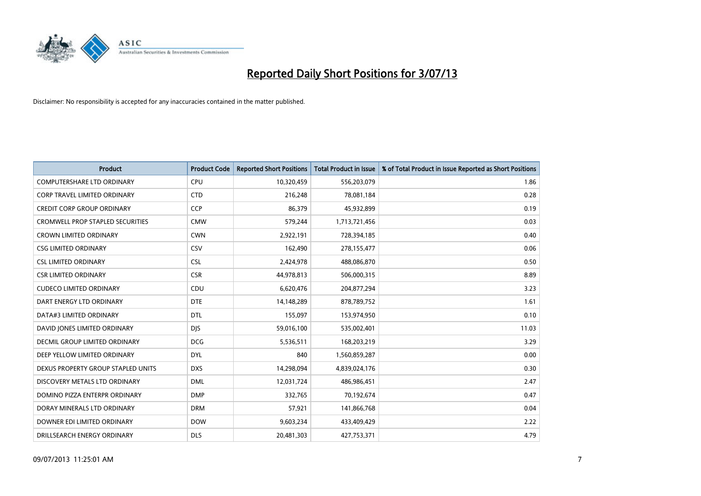

| <b>Product</b>                       | <b>Product Code</b> | <b>Reported Short Positions</b> | <b>Total Product in Issue</b> | % of Total Product in Issue Reported as Short Positions |
|--------------------------------------|---------------------|---------------------------------|-------------------------------|---------------------------------------------------------|
| <b>COMPUTERSHARE LTD ORDINARY</b>    | <b>CPU</b>          | 10,320,459                      | 556,203,079                   | 1.86                                                    |
| CORP TRAVEL LIMITED ORDINARY         | <b>CTD</b>          | 216,248                         | 78,081,184                    | 0.28                                                    |
| <b>CREDIT CORP GROUP ORDINARY</b>    | <b>CCP</b>          | 86,379                          | 45,932,899                    | 0.19                                                    |
| CROMWELL PROP STAPLED SECURITIES     | <b>CMW</b>          | 579,244                         | 1,713,721,456                 | 0.03                                                    |
| <b>CROWN LIMITED ORDINARY</b>        | <b>CWN</b>          | 2,922,191                       | 728,394,185                   | 0.40                                                    |
| <b>CSG LIMITED ORDINARY</b>          | CSV                 | 162,490                         | 278,155,477                   | 0.06                                                    |
| <b>CSL LIMITED ORDINARY</b>          | <b>CSL</b>          | 2,424,978                       | 488,086,870                   | 0.50                                                    |
| <b>CSR LIMITED ORDINARY</b>          | <b>CSR</b>          | 44,978,813                      | 506,000,315                   | 8.89                                                    |
| <b>CUDECO LIMITED ORDINARY</b>       | CDU                 | 6,620,476                       | 204,877,294                   | 3.23                                                    |
| DART ENERGY LTD ORDINARY             | <b>DTE</b>          | 14,148,289                      | 878,789,752                   | 1.61                                                    |
| DATA#3 LIMITED ORDINARY              | DTL                 | 155,097                         | 153,974,950                   | 0.10                                                    |
| DAVID JONES LIMITED ORDINARY         | <b>DJS</b>          | 59,016,100                      | 535,002,401                   | 11.03                                                   |
| <b>DECMIL GROUP LIMITED ORDINARY</b> | <b>DCG</b>          | 5,536,511                       | 168,203,219                   | 3.29                                                    |
| DEEP YELLOW LIMITED ORDINARY         | <b>DYL</b>          | 840                             | 1,560,859,287                 | 0.00                                                    |
| DEXUS PROPERTY GROUP STAPLED UNITS   | <b>DXS</b>          | 14,298,094                      | 4,839,024,176                 | 0.30                                                    |
| DISCOVERY METALS LTD ORDINARY        | <b>DML</b>          | 12,031,724                      | 486,986,451                   | 2.47                                                    |
| DOMINO PIZZA ENTERPR ORDINARY        | <b>DMP</b>          | 332,765                         | 70,192,674                    | 0.47                                                    |
| DORAY MINERALS LTD ORDINARY          | <b>DRM</b>          | 57,921                          | 141,866,768                   | 0.04                                                    |
| DOWNER EDI LIMITED ORDINARY          | <b>DOW</b>          | 9,603,234                       | 433,409,429                   | 2.22                                                    |
| DRILLSEARCH ENERGY ORDINARY          | <b>DLS</b>          | 20,481,303                      | 427,753,371                   | 4.79                                                    |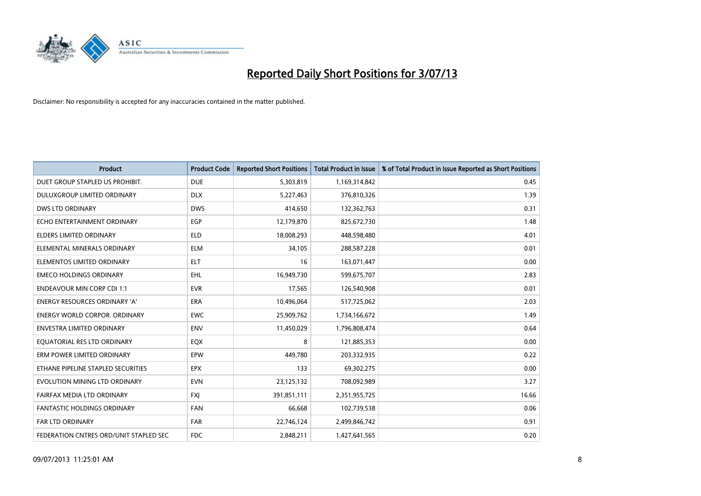

| <b>Product</b>                         | <b>Product Code</b> | <b>Reported Short Positions</b> | <b>Total Product in Issue</b> | % of Total Product in Issue Reported as Short Positions |
|----------------------------------------|---------------------|---------------------------------|-------------------------------|---------------------------------------------------------|
| DUET GROUP STAPLED US PROHIBIT.        | <b>DUE</b>          | 5,303,819                       | 1,169,314,842                 | 0.45                                                    |
| <b>DULUXGROUP LIMITED ORDINARY</b>     | <b>DLX</b>          | 5,227,463                       | 376,810,326                   | 1.39                                                    |
| <b>DWS LTD ORDINARY</b>                | <b>DWS</b>          | 414,650                         | 132,362,763                   | 0.31                                                    |
| ECHO ENTERTAINMENT ORDINARY            | <b>EGP</b>          | 12,179,870                      | 825,672,730                   | 1.48                                                    |
| <b>ELDERS LIMITED ORDINARY</b>         | <b>ELD</b>          | 18,008,293                      | 448,598,480                   | 4.01                                                    |
| ELEMENTAL MINERALS ORDINARY            | <b>ELM</b>          | 34,105                          | 288,587,228                   | 0.01                                                    |
| ELEMENTOS LIMITED ORDINARY             | <b>ELT</b>          | 16                              | 163,071,447                   | 0.00                                                    |
| <b>EMECO HOLDINGS ORDINARY</b>         | <b>EHL</b>          | 16,949,730                      | 599,675,707                   | 2.83                                                    |
| <b>ENDEAVOUR MIN CORP CDI 1:1</b>      | <b>EVR</b>          | 17,565                          | 126,540,908                   | 0.01                                                    |
| <b>ENERGY RESOURCES ORDINARY 'A'</b>   | <b>ERA</b>          | 10,496,064                      | 517,725,062                   | 2.03                                                    |
| <b>ENERGY WORLD CORPOR, ORDINARY</b>   | <b>EWC</b>          | 25,909,762                      | 1,734,166,672                 | 1.49                                                    |
| <b>ENVESTRA LIMITED ORDINARY</b>       | <b>ENV</b>          | 11,450,029                      | 1,796,808,474                 | 0.64                                                    |
| EQUATORIAL RES LTD ORDINARY            | EQX                 | 8                               | 121,885,353                   | 0.00                                                    |
| ERM POWER LIMITED ORDINARY             | EPW                 | 449.780                         | 203,332,935                   | 0.22                                                    |
| ETHANE PIPELINE STAPLED SECURITIES     | <b>EPX</b>          | 133                             | 69,302,275                    | 0.00                                                    |
| EVOLUTION MINING LTD ORDINARY          | <b>EVN</b>          | 23,125,132                      | 708,092,989                   | 3.27                                                    |
| FAIRFAX MEDIA LTD ORDINARY             | <b>FXJ</b>          | 391,851,111                     | 2,351,955,725                 | 16.66                                                   |
| FANTASTIC HOLDINGS ORDINARY            | <b>FAN</b>          | 66,668                          | 102,739,538                   | 0.06                                                    |
| <b>FAR LTD ORDINARY</b>                | <b>FAR</b>          | 22,746,124                      | 2,499,846,742                 | 0.91                                                    |
| FEDERATION CNTRES ORD/UNIT STAPLED SEC | <b>FDC</b>          | 2,848,211                       | 1,427,641,565                 | 0.20                                                    |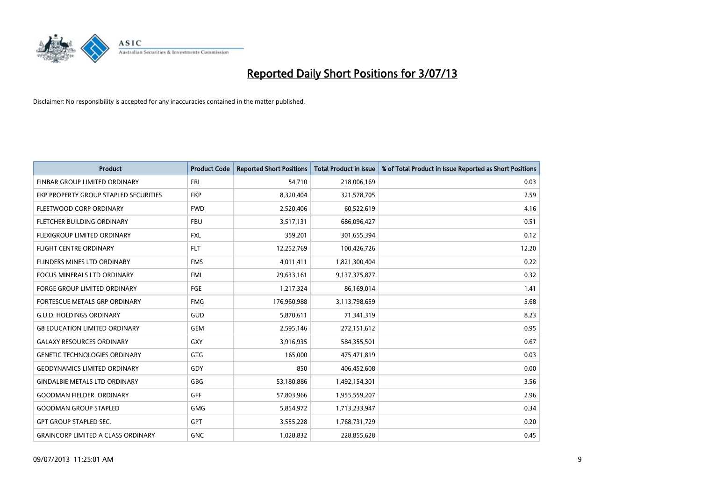

| <b>Product</b>                            | <b>Product Code</b> | <b>Reported Short Positions</b> | <b>Total Product in Issue</b> | % of Total Product in Issue Reported as Short Positions |
|-------------------------------------------|---------------------|---------------------------------|-------------------------------|---------------------------------------------------------|
| FINBAR GROUP LIMITED ORDINARY             | <b>FRI</b>          | 54,710                          | 218,006,169                   | 0.03                                                    |
| FKP PROPERTY GROUP STAPLED SECURITIES     | <b>FKP</b>          | 8,320,404                       | 321,578,705                   | 2.59                                                    |
| FLEETWOOD CORP ORDINARY                   | <b>FWD</b>          | 2,520,406                       | 60,522,619                    | 4.16                                                    |
| FLETCHER BUILDING ORDINARY                | <b>FBU</b>          | 3,517,131                       | 686,096,427                   | 0.51                                                    |
| FLEXIGROUP LIMITED ORDINARY               | <b>FXL</b>          | 359,201                         | 301,655,394                   | 0.12                                                    |
| <b>FLIGHT CENTRE ORDINARY</b>             | <b>FLT</b>          | 12,252,769                      | 100,426,726                   | 12.20                                                   |
| FLINDERS MINES LTD ORDINARY               | <b>FMS</b>          | 4,011,411                       | 1,821,300,404                 | 0.22                                                    |
| <b>FOCUS MINERALS LTD ORDINARY</b>        | <b>FML</b>          | 29,633,161                      | 9,137,375,877                 | 0.32                                                    |
| FORGE GROUP LIMITED ORDINARY              | FGE                 | 1,217,324                       | 86,169,014                    | 1.41                                                    |
| FORTESCUE METALS GRP ORDINARY             | <b>FMG</b>          | 176,960,988                     | 3,113,798,659                 | 5.68                                                    |
| <b>G.U.D. HOLDINGS ORDINARY</b>           | GUD                 | 5,870,611                       | 71,341,319                    | 8.23                                                    |
| <b>G8 EDUCATION LIMITED ORDINARY</b>      | GEM                 | 2,595,146                       | 272,151,612                   | 0.95                                                    |
| <b>GALAXY RESOURCES ORDINARY</b>          | GXY                 | 3,916,935                       | 584,355,501                   | 0.67                                                    |
| <b>GENETIC TECHNOLOGIES ORDINARY</b>      | GTG                 | 165,000                         | 475,471,819                   | 0.03                                                    |
| <b>GEODYNAMICS LIMITED ORDINARY</b>       | GDY                 | 850                             | 406,452,608                   | 0.00                                                    |
| <b>GINDALBIE METALS LTD ORDINARY</b>      | GBG                 | 53,180,886                      | 1,492,154,301                 | 3.56                                                    |
| <b>GOODMAN FIELDER, ORDINARY</b>          | GFF                 | 57,803,966                      | 1,955,559,207                 | 2.96                                                    |
| <b>GOODMAN GROUP STAPLED</b>              | <b>GMG</b>          | 5,854,972                       | 1,713,233,947                 | 0.34                                                    |
| <b>GPT GROUP STAPLED SEC.</b>             | <b>GPT</b>          | 3,555,228                       | 1,768,731,729                 | 0.20                                                    |
| <b>GRAINCORP LIMITED A CLASS ORDINARY</b> | <b>GNC</b>          | 1,028,832                       | 228,855,628                   | 0.45                                                    |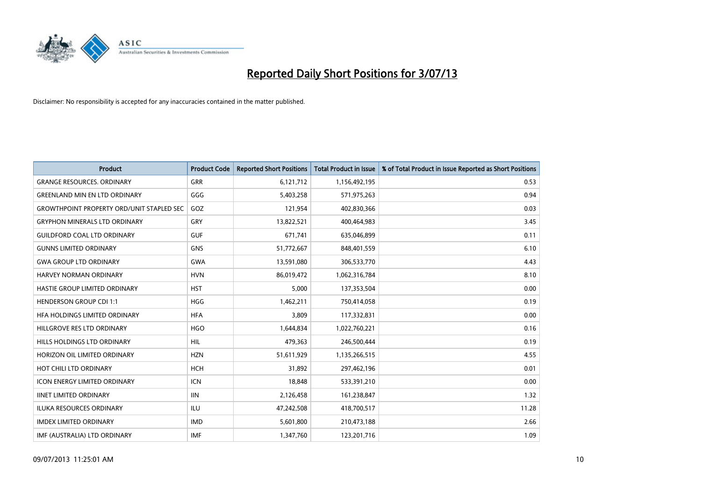

| <b>Product</b>                                   | <b>Product Code</b> | <b>Reported Short Positions</b> | <b>Total Product in Issue</b> | % of Total Product in Issue Reported as Short Positions |
|--------------------------------------------------|---------------------|---------------------------------|-------------------------------|---------------------------------------------------------|
| <b>GRANGE RESOURCES, ORDINARY</b>                | GRR                 | 6,121,712                       | 1,156,492,195                 | 0.53                                                    |
| <b>GREENLAND MIN EN LTD ORDINARY</b>             | GGG                 | 5,403,258                       | 571,975,263                   | 0.94                                                    |
| <b>GROWTHPOINT PROPERTY ORD/UNIT STAPLED SEC</b> | GOZ                 | 121,954                         | 402,830,366                   | 0.03                                                    |
| <b>GRYPHON MINERALS LTD ORDINARY</b>             | GRY                 | 13,822,521                      | 400,464,983                   | 3.45                                                    |
| <b>GUILDFORD COAL LTD ORDINARY</b>               | <b>GUF</b>          | 671,741                         | 635,046,899                   | 0.11                                                    |
| <b>GUNNS LIMITED ORDINARY</b>                    | <b>GNS</b>          | 51,772,667                      | 848,401,559                   | 6.10                                                    |
| <b>GWA GROUP LTD ORDINARY</b>                    | <b>GWA</b>          | 13,591,080                      | 306,533,770                   | 4.43                                                    |
| <b>HARVEY NORMAN ORDINARY</b>                    | <b>HVN</b>          | 86,019,472                      | 1,062,316,784                 | 8.10                                                    |
| HASTIE GROUP LIMITED ORDINARY                    | <b>HST</b>          | 5,000                           | 137,353,504                   | 0.00                                                    |
| <b>HENDERSON GROUP CDI 1:1</b>                   | <b>HGG</b>          | 1,462,211                       | 750,414,058                   | 0.19                                                    |
| HFA HOLDINGS LIMITED ORDINARY                    | <b>HFA</b>          | 3,809                           | 117,332,831                   | 0.00                                                    |
| HILLGROVE RES LTD ORDINARY                       | <b>HGO</b>          | 1,644,834                       | 1,022,760,221                 | 0.16                                                    |
| HILLS HOLDINGS LTD ORDINARY                      | <b>HIL</b>          | 479,363                         | 246,500,444                   | 0.19                                                    |
| HORIZON OIL LIMITED ORDINARY                     | <b>HZN</b>          | 51,611,929                      | 1,135,266,515                 | 4.55                                                    |
| HOT CHILI LTD ORDINARY                           | <b>HCH</b>          | 31,892                          | 297,462,196                   | 0.01                                                    |
| <b>ICON ENERGY LIMITED ORDINARY</b>              | <b>ICN</b>          | 18.848                          | 533,391,210                   | 0.00                                                    |
| <b>IINET LIMITED ORDINARY</b>                    | <b>IIN</b>          | 2,126,458                       | 161,238,847                   | 1.32                                                    |
| ILUKA RESOURCES ORDINARY                         | ILU                 | 47,242,508                      | 418,700,517                   | 11.28                                                   |
| <b>IMDEX LIMITED ORDINARY</b>                    | <b>IMD</b>          | 5,601,800                       | 210,473,188                   | 2.66                                                    |
| IMF (AUSTRALIA) LTD ORDINARY                     | <b>IMF</b>          | 1,347,760                       | 123,201,716                   | 1.09                                                    |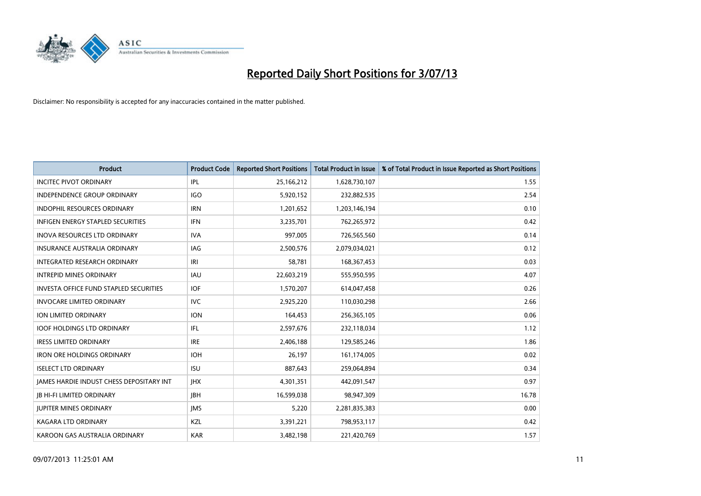

| <b>Product</b>                                | <b>Product Code</b> | <b>Reported Short Positions</b> | <b>Total Product in Issue</b> | % of Total Product in Issue Reported as Short Positions |
|-----------------------------------------------|---------------------|---------------------------------|-------------------------------|---------------------------------------------------------|
| <b>INCITEC PIVOT ORDINARY</b>                 | IPL                 | 25,166,212                      | 1,628,730,107                 | 1.55                                                    |
| INDEPENDENCE GROUP ORDINARY                   | <b>IGO</b>          | 5,920,152                       | 232,882,535                   | 2.54                                                    |
| <b>INDOPHIL RESOURCES ORDINARY</b>            | <b>IRN</b>          | 1,201,652                       | 1,203,146,194                 | 0.10                                                    |
| <b>INFIGEN ENERGY STAPLED SECURITIES</b>      | <b>IFN</b>          | 3,235,701                       | 762,265,972                   | 0.42                                                    |
| <b>INOVA RESOURCES LTD ORDINARY</b>           | <b>IVA</b>          | 997,005                         | 726,565,560                   | 0.14                                                    |
| <b>INSURANCE AUSTRALIA ORDINARY</b>           | <b>IAG</b>          | 2,500,576                       | 2,079,034,021                 | 0.12                                                    |
| INTEGRATED RESEARCH ORDINARY                  | IRI                 | 58,781                          | 168,367,453                   | 0.03                                                    |
| <b>INTREPID MINES ORDINARY</b>                | <b>IAU</b>          | 22,603,219                      | 555,950,595                   | 4.07                                                    |
| <b>INVESTA OFFICE FUND STAPLED SECURITIES</b> | <b>IOF</b>          | 1,570,207                       | 614,047,458                   | 0.26                                                    |
| <b>INVOCARE LIMITED ORDINARY</b>              | <b>IVC</b>          | 2,925,220                       | 110,030,298                   | 2.66                                                    |
| ION LIMITED ORDINARY                          | <b>ION</b>          | 164,453                         | 256,365,105                   | 0.06                                                    |
| <b>IOOF HOLDINGS LTD ORDINARY</b>             | IFL.                | 2,597,676                       | 232,118,034                   | 1.12                                                    |
| <b>IRESS LIMITED ORDINARY</b>                 | <b>IRE</b>          | 2,406,188                       | 129,585,246                   | 1.86                                                    |
| <b>IRON ORE HOLDINGS ORDINARY</b>             | <b>IOH</b>          | 26.197                          | 161,174,005                   | 0.02                                                    |
| <b>ISELECT LTD ORDINARY</b>                   | <b>ISU</b>          | 887,643                         | 259,064,894                   | 0.34                                                    |
| JAMES HARDIE INDUST CHESS DEPOSITARY INT      | <b>IHX</b>          | 4,301,351                       | 442,091,547                   | 0.97                                                    |
| <b>JB HI-FI LIMITED ORDINARY</b>              | <b>IBH</b>          | 16,599,038                      | 98,947,309                    | 16.78                                                   |
| <b>JUPITER MINES ORDINARY</b>                 | <b>IMS</b>          | 5,220                           | 2,281,835,383                 | 0.00                                                    |
| <b>KAGARA LTD ORDINARY</b>                    | KZL                 | 3,391,221                       | 798,953,117                   | 0.42                                                    |
| KAROON GAS AUSTRALIA ORDINARY                 | <b>KAR</b>          | 3,482,198                       | 221,420,769                   | 1.57                                                    |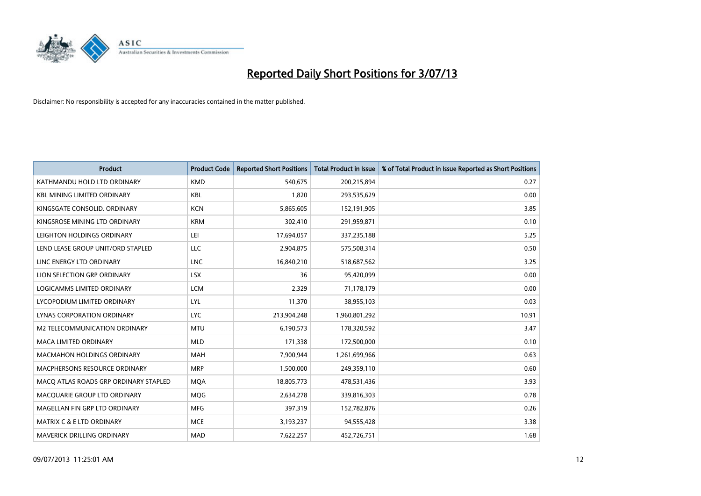

| <b>Product</b>                        | <b>Product Code</b> | <b>Reported Short Positions</b> | <b>Total Product in Issue</b> | % of Total Product in Issue Reported as Short Positions |
|---------------------------------------|---------------------|---------------------------------|-------------------------------|---------------------------------------------------------|
| KATHMANDU HOLD LTD ORDINARY           | <b>KMD</b>          | 540,675                         | 200,215,894                   | 0.27                                                    |
| <b>KBL MINING LIMITED ORDINARY</b>    | <b>KBL</b>          | 1,820                           | 293,535,629                   | 0.00                                                    |
| KINGSGATE CONSOLID. ORDINARY          | <b>KCN</b>          | 5,865,605                       | 152,191,905                   | 3.85                                                    |
| KINGSROSE MINING LTD ORDINARY         | <b>KRM</b>          | 302,410                         | 291,959,871                   | 0.10                                                    |
| LEIGHTON HOLDINGS ORDINARY            | LEI                 | 17,694,057                      | 337,235,188                   | 5.25                                                    |
| LEND LEASE GROUP UNIT/ORD STAPLED     | <b>LLC</b>          | 2,904,875                       | 575,508,314                   | 0.50                                                    |
| LINC ENERGY LTD ORDINARY              | <b>LNC</b>          | 16,840,210                      | 518,687,562                   | 3.25                                                    |
| LION SELECTION GRP ORDINARY           | <b>LSX</b>          | 36                              | 95,420,099                    | 0.00                                                    |
| LOGICAMMS LIMITED ORDINARY            | <b>LCM</b>          | 2,329                           | 71,178,179                    | 0.00                                                    |
| LYCOPODIUM LIMITED ORDINARY           | <b>LYL</b>          | 11,370                          | 38,955,103                    | 0.03                                                    |
| LYNAS CORPORATION ORDINARY            | <b>LYC</b>          | 213,904,248                     | 1,960,801,292                 | 10.91                                                   |
| <b>M2 TELECOMMUNICATION ORDINARY</b>  | <b>MTU</b>          | 6,190,573                       | 178,320,592                   | 3.47                                                    |
| <b>MACA LIMITED ORDINARY</b>          | <b>MLD</b>          | 171,338                         | 172,500,000                   | 0.10                                                    |
| <b>MACMAHON HOLDINGS ORDINARY</b>     | <b>MAH</b>          | 7,900,944                       | 1,261,699,966                 | 0.63                                                    |
| MACPHERSONS RESOURCE ORDINARY         | <b>MRP</b>          | 1,500,000                       | 249,359,110                   | 0.60                                                    |
| MACQ ATLAS ROADS GRP ORDINARY STAPLED | <b>MQA</b>          | 18,805,773                      | 478,531,436                   | 3.93                                                    |
| MACQUARIE GROUP LTD ORDINARY          | <b>MQG</b>          | 2,634,278                       | 339,816,303                   | 0.78                                                    |
| MAGELLAN FIN GRP LTD ORDINARY         | <b>MFG</b>          | 397,319                         | 152,782,876                   | 0.26                                                    |
| MATRIX C & E LTD ORDINARY             | <b>MCE</b>          | 3,193,237                       | 94,555,428                    | 3.38                                                    |
| MAVERICK DRILLING ORDINARY            | <b>MAD</b>          | 7,622,257                       | 452,726,751                   | 1.68                                                    |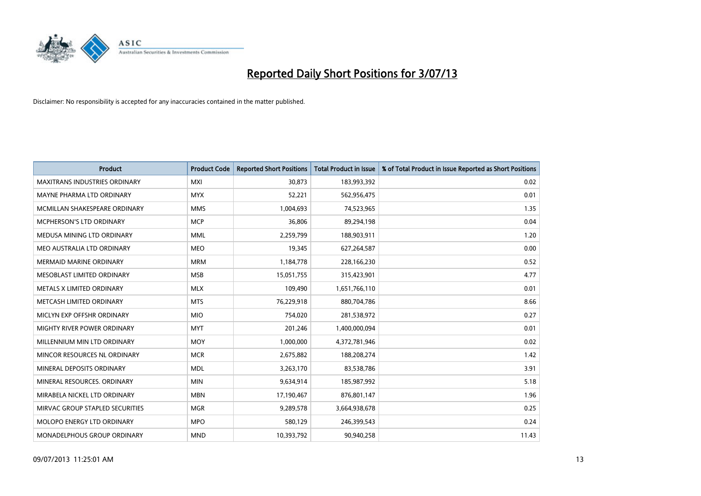

| <b>Product</b>                       | <b>Product Code</b> | <b>Reported Short Positions</b> | <b>Total Product in Issue</b> | % of Total Product in Issue Reported as Short Positions |
|--------------------------------------|---------------------|---------------------------------|-------------------------------|---------------------------------------------------------|
| <b>MAXITRANS INDUSTRIES ORDINARY</b> | <b>MXI</b>          | 30,873                          | 183,993,392                   | 0.02                                                    |
| MAYNE PHARMA LTD ORDINARY            | <b>MYX</b>          | 52,221                          | 562,956,475                   | 0.01                                                    |
| MCMILLAN SHAKESPEARE ORDINARY        | <b>MMS</b>          | 1,004,693                       | 74,523,965                    | 1.35                                                    |
| MCPHERSON'S LTD ORDINARY             | <b>MCP</b>          | 36,806                          | 89,294,198                    | 0.04                                                    |
| MEDUSA MINING LTD ORDINARY           | <b>MML</b>          | 2,259,799                       | 188,903,911                   | 1.20                                                    |
| MEO AUSTRALIA LTD ORDINARY           | <b>MEO</b>          | 19,345                          | 627,264,587                   | 0.00                                                    |
| <b>MERMAID MARINE ORDINARY</b>       | <b>MRM</b>          | 1,184,778                       | 228,166,230                   | 0.52                                                    |
| MESOBLAST LIMITED ORDINARY           | <b>MSB</b>          | 15,051,755                      | 315,423,901                   | 4.77                                                    |
| METALS X LIMITED ORDINARY            | <b>MLX</b>          | 109,490                         | 1,651,766,110                 | 0.01                                                    |
| METCASH LIMITED ORDINARY             | <b>MTS</b>          | 76,229,918                      | 880,704,786                   | 8.66                                                    |
| MICLYN EXP OFFSHR ORDINARY           | <b>MIO</b>          | 754,020                         | 281,538,972                   | 0.27                                                    |
| MIGHTY RIVER POWER ORDINARY          | <b>MYT</b>          | 201,246                         | 1,400,000,094                 | 0.01                                                    |
| MILLENNIUM MIN LTD ORDINARY          | <b>MOY</b>          | 1,000,000                       | 4,372,781,946                 | 0.02                                                    |
| MINCOR RESOURCES NL ORDINARY         | <b>MCR</b>          | 2,675,882                       | 188,208,274                   | 1.42                                                    |
| MINERAL DEPOSITS ORDINARY            | <b>MDL</b>          | 3,263,170                       | 83,538,786                    | 3.91                                                    |
| MINERAL RESOURCES. ORDINARY          | <b>MIN</b>          | 9,634,914                       | 185,987,992                   | 5.18                                                    |
| MIRABELA NICKEL LTD ORDINARY         | <b>MBN</b>          | 17,190,467                      | 876,801,147                   | 1.96                                                    |
| MIRVAC GROUP STAPLED SECURITIES      | <b>MGR</b>          | 9,289,578                       | 3,664,938,678                 | 0.25                                                    |
| MOLOPO ENERGY LTD ORDINARY           | <b>MPO</b>          | 580,129                         | 246,399,543                   | 0.24                                                    |
| MONADELPHOUS GROUP ORDINARY          | <b>MND</b>          | 10,393,792                      | 90,940,258                    | 11.43                                                   |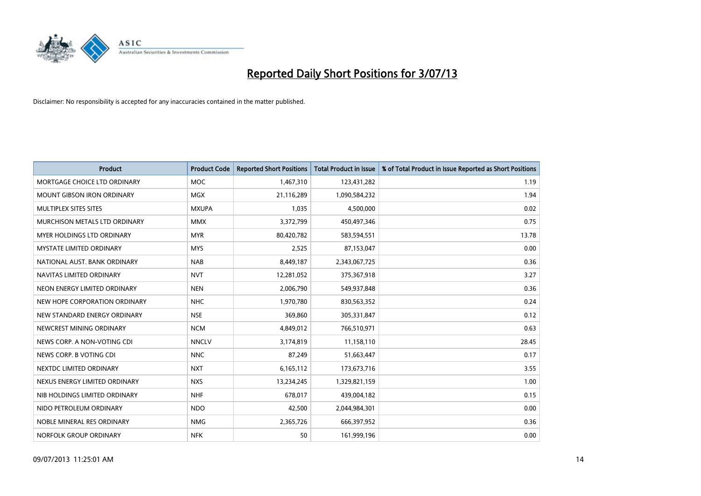

| Product                           | <b>Product Code</b> | <b>Reported Short Positions</b> | <b>Total Product in Issue</b> | % of Total Product in Issue Reported as Short Positions |
|-----------------------------------|---------------------|---------------------------------|-------------------------------|---------------------------------------------------------|
| MORTGAGE CHOICE LTD ORDINARY      | <b>MOC</b>          | 1,467,310                       | 123,431,282                   | 1.19                                                    |
| MOUNT GIBSON IRON ORDINARY        | <b>MGX</b>          | 21,116,289                      | 1,090,584,232                 | 1.94                                                    |
| MULTIPLEX SITES SITES             | <b>MXUPA</b>        | 1,035                           | 4,500,000                     | 0.02                                                    |
| MURCHISON METALS LTD ORDINARY     | <b>MMX</b>          | 3,372,799                       | 450,497,346                   | 0.75                                                    |
| <b>MYER HOLDINGS LTD ORDINARY</b> | <b>MYR</b>          | 80,420,782                      | 583,594,551                   | 13.78                                                   |
| <b>MYSTATE LIMITED ORDINARY</b>   | <b>MYS</b>          | 2,525                           | 87,153,047                    | 0.00                                                    |
| NATIONAL AUST, BANK ORDINARY      | <b>NAB</b>          | 8,449,187                       | 2,343,067,725                 | 0.36                                                    |
| NAVITAS LIMITED ORDINARY          | <b>NVT</b>          | 12,281,052                      | 375,367,918                   | 3.27                                                    |
| NEON ENERGY LIMITED ORDINARY      | <b>NEN</b>          | 2,006,790                       | 549,937,848                   | 0.36                                                    |
| NEW HOPE CORPORATION ORDINARY     | <b>NHC</b>          | 1,970,780                       | 830,563,352                   | 0.24                                                    |
| NEW STANDARD ENERGY ORDINARY      | <b>NSE</b>          | 369,860                         | 305,331,847                   | 0.12                                                    |
| NEWCREST MINING ORDINARY          | <b>NCM</b>          | 4,849,012                       | 766,510,971                   | 0.63                                                    |
| NEWS CORP. A NON-VOTING CDI       | <b>NNCLV</b>        | 3,174,819                       | 11,158,110                    | 28.45                                                   |
| NEWS CORP. B VOTING CDI           | <b>NNC</b>          | 87,249                          | 51,663,447                    | 0.17                                                    |
| NEXTDC LIMITED ORDINARY           | <b>NXT</b>          | 6,165,112                       | 173,673,716                   | 3.55                                                    |
| NEXUS ENERGY LIMITED ORDINARY     | <b>NXS</b>          | 13,234,245                      | 1,329,821,159                 | 1.00                                                    |
| NIB HOLDINGS LIMITED ORDINARY     | <b>NHF</b>          | 678,017                         | 439,004,182                   | 0.15                                                    |
| NIDO PETROLEUM ORDINARY           | <b>NDO</b>          | 42,500                          | 2,044,984,301                 | 0.00                                                    |
| NOBLE MINERAL RES ORDINARY        | <b>NMG</b>          | 2,365,726                       | 666,397,952                   | 0.36                                                    |
| NORFOLK GROUP ORDINARY            | <b>NFK</b>          | 50                              | 161,999,196                   | 0.00                                                    |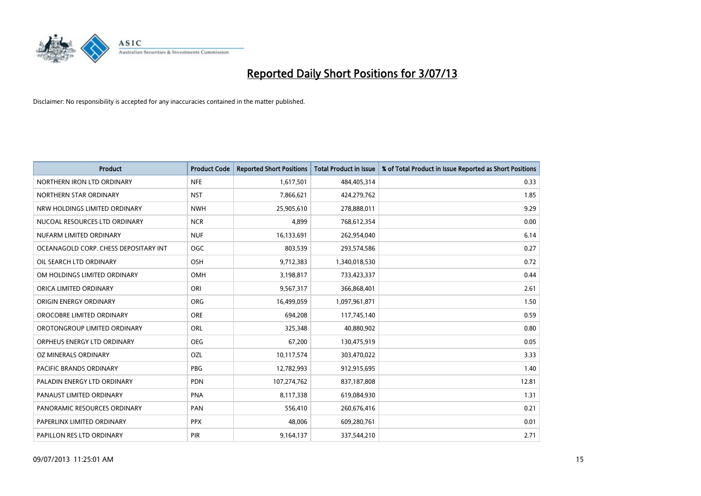

| <b>Product</b>                        | <b>Product Code</b> | <b>Reported Short Positions</b> | <b>Total Product in Issue</b> | % of Total Product in Issue Reported as Short Positions |
|---------------------------------------|---------------------|---------------------------------|-------------------------------|---------------------------------------------------------|
| NORTHERN IRON LTD ORDINARY            | <b>NFE</b>          | 1,617,501                       | 484,405,314                   | 0.33                                                    |
| NORTHERN STAR ORDINARY                | <b>NST</b>          | 7,866,621                       | 424,279,762                   | 1.85                                                    |
| NRW HOLDINGS LIMITED ORDINARY         | <b>NWH</b>          | 25,905,610                      | 278,888,011                   | 9.29                                                    |
| NUCOAL RESOURCES LTD ORDINARY         | <b>NCR</b>          | 4,899                           | 768,612,354                   | 0.00                                                    |
| NUFARM LIMITED ORDINARY               | <b>NUF</b>          | 16,133,691                      | 262,954,040                   | 6.14                                                    |
| OCEANAGOLD CORP. CHESS DEPOSITARY INT | <b>OGC</b>          | 803,539                         | 293,574,586                   | 0.27                                                    |
| OIL SEARCH LTD ORDINARY               | OSH                 | 9,712,383                       | 1,340,018,530                 | 0.72                                                    |
| OM HOLDINGS LIMITED ORDINARY          | OMH                 | 3,198,817                       | 733,423,337                   | 0.44                                                    |
| ORICA LIMITED ORDINARY                | ORI                 | 9,567,317                       | 366,868,401                   | 2.61                                                    |
| ORIGIN ENERGY ORDINARY                | <b>ORG</b>          | 16,499,059                      | 1,097,961,871                 | 1.50                                                    |
| OROCOBRE LIMITED ORDINARY             | <b>ORE</b>          | 694,208                         | 117,745,140                   | 0.59                                                    |
| OROTONGROUP LIMITED ORDINARY          | <b>ORL</b>          | 325,348                         | 40,880,902                    | 0.80                                                    |
| ORPHEUS ENERGY LTD ORDINARY           | <b>OEG</b>          | 67,200                          | 130,475,919                   | 0.05                                                    |
| OZ MINERALS ORDINARY                  | OZL                 | 10,117,574                      | 303,470,022                   | 3.33                                                    |
| PACIFIC BRANDS ORDINARY               | <b>PBG</b>          | 12,782,993                      | 912,915,695                   | 1.40                                                    |
| PALADIN ENERGY LTD ORDINARY           | <b>PDN</b>          | 107,274,762                     | 837,187,808                   | 12.81                                                   |
| PANAUST LIMITED ORDINARY              | <b>PNA</b>          | 8,117,338                       | 619,084,930                   | 1.31                                                    |
| PANORAMIC RESOURCES ORDINARY          | PAN                 | 556,410                         | 260,676,416                   | 0.21                                                    |
| PAPERLINX LIMITED ORDINARY            | <b>PPX</b>          | 48,006                          | 609,280,761                   | 0.01                                                    |
| PAPILLON RES LTD ORDINARY             | PIR                 | 9,164,137                       | 337,544,210                   | 2.71                                                    |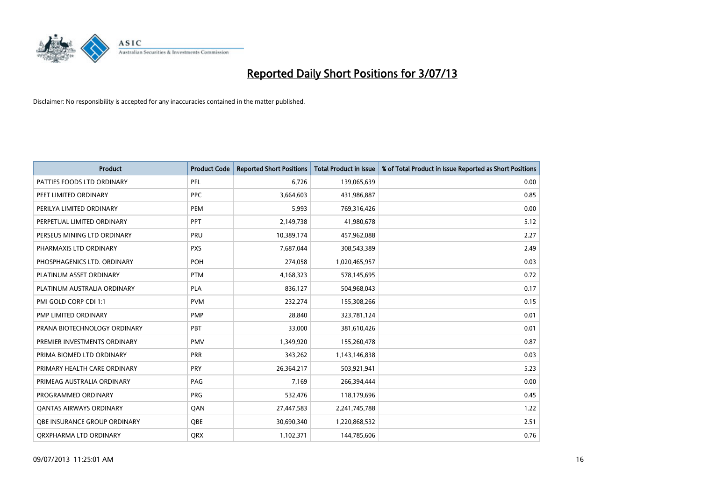

| <b>Product</b>                 | <b>Product Code</b> | <b>Reported Short Positions</b> | <b>Total Product in Issue</b> | % of Total Product in Issue Reported as Short Positions |
|--------------------------------|---------------------|---------------------------------|-------------------------------|---------------------------------------------------------|
| PATTIES FOODS LTD ORDINARY     | PFL                 | 6,726                           | 139,065,639                   | 0.00                                                    |
| PEET LIMITED ORDINARY          | <b>PPC</b>          | 3,664,603                       | 431,986,887                   | 0.85                                                    |
| PERILYA LIMITED ORDINARY       | <b>PEM</b>          | 5,993                           | 769,316,426                   | 0.00                                                    |
| PERPETUAL LIMITED ORDINARY     | PPT                 | 2,149,738                       | 41,980,678                    | 5.12                                                    |
| PERSEUS MINING LTD ORDINARY    | PRU                 | 10,389,174                      | 457,962,088                   | 2.27                                                    |
| PHARMAXIS LTD ORDINARY         | <b>PXS</b>          | 7,687,044                       | 308,543,389                   | 2.49                                                    |
| PHOSPHAGENICS LTD. ORDINARY    | <b>POH</b>          | 274,058                         | 1,020,465,957                 | 0.03                                                    |
| PLATINUM ASSET ORDINARY        | <b>PTM</b>          | 4,168,323                       | 578,145,695                   | 0.72                                                    |
| PLATINUM AUSTRALIA ORDINARY    | <b>PLA</b>          | 836,127                         | 504,968,043                   | 0.17                                                    |
| PMI GOLD CORP CDI 1:1          | <b>PVM</b>          | 232,274                         | 155,308,266                   | 0.15                                                    |
| PMP LIMITED ORDINARY           | <b>PMP</b>          | 28,840                          | 323,781,124                   | 0.01                                                    |
| PRANA BIOTECHNOLOGY ORDINARY   | PBT                 | 33,000                          | 381,610,426                   | 0.01                                                    |
| PREMIER INVESTMENTS ORDINARY   | <b>PMV</b>          | 1,349,920                       | 155,260,478                   | 0.87                                                    |
| PRIMA BIOMED LTD ORDINARY      | <b>PRR</b>          | 343,262                         | 1,143,146,838                 | 0.03                                                    |
| PRIMARY HEALTH CARE ORDINARY   | <b>PRY</b>          | 26,364,217                      | 503,921,941                   | 5.23                                                    |
| PRIMEAG AUSTRALIA ORDINARY     | PAG                 | 7,169                           | 266,394,444                   | 0.00                                                    |
| PROGRAMMED ORDINARY            | <b>PRG</b>          | 532,476                         | 118,179,696                   | 0.45                                                    |
| <b>QANTAS AIRWAYS ORDINARY</b> | QAN                 | 27,447,583                      | 2,241,745,788                 | 1.22                                                    |
| OBE INSURANCE GROUP ORDINARY   | <b>OBE</b>          | 30,690,340                      | 1,220,868,532                 | 2.51                                                    |
| ORXPHARMA LTD ORDINARY         | <b>QRX</b>          | 1,102,371                       | 144,785,606                   | 0.76                                                    |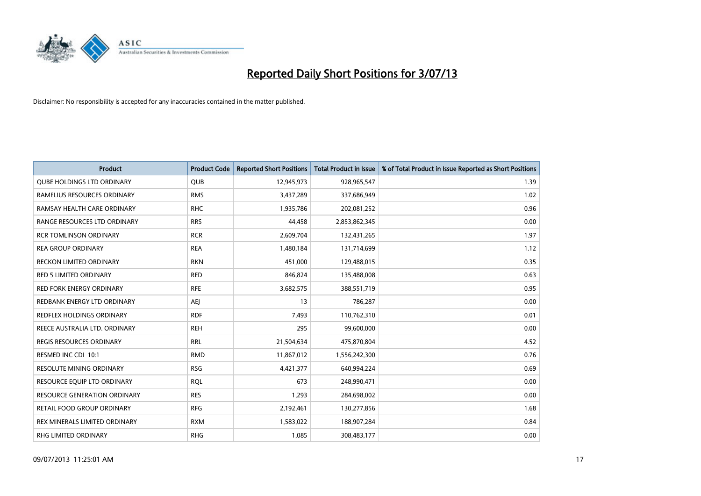

| <b>Product</b>                      | <b>Product Code</b> | <b>Reported Short Positions</b> | <b>Total Product in Issue</b> | % of Total Product in Issue Reported as Short Positions |
|-------------------------------------|---------------------|---------------------------------|-------------------------------|---------------------------------------------------------|
| <b>QUBE HOLDINGS LTD ORDINARY</b>   | <b>QUB</b>          | 12,945,973                      | 928,965,547                   | 1.39                                                    |
| RAMELIUS RESOURCES ORDINARY         | <b>RMS</b>          | 3,437,289                       | 337,686,949                   | 1.02                                                    |
| RAMSAY HEALTH CARE ORDINARY         | <b>RHC</b>          | 1,935,786                       | 202,081,252                   | 0.96                                                    |
| RANGE RESOURCES LTD ORDINARY        | <b>RRS</b>          | 44,458                          | 2,853,862,345                 | 0.00                                                    |
| <b>RCR TOMLINSON ORDINARY</b>       | <b>RCR</b>          | 2,609,704                       | 132,431,265                   | 1.97                                                    |
| <b>REA GROUP ORDINARY</b>           | <b>REA</b>          | 1,480,184                       | 131,714,699                   | 1.12                                                    |
| RECKON LIMITED ORDINARY             | <b>RKN</b>          | 451,000                         | 129,488,015                   | 0.35                                                    |
| RED 5 LIMITED ORDINARY              | <b>RED</b>          | 846,824                         | 135,488,008                   | 0.63                                                    |
| <b>RED FORK ENERGY ORDINARY</b>     | <b>RFE</b>          | 3,682,575                       | 388,551,719                   | 0.95                                                    |
| REDBANK ENERGY LTD ORDINARY         | <b>AEI</b>          | 13                              | 786,287                       | 0.00                                                    |
| REDFLEX HOLDINGS ORDINARY           | <b>RDF</b>          | 7,493                           | 110,762,310                   | 0.01                                                    |
| REECE AUSTRALIA LTD. ORDINARY       | <b>REH</b>          | 295                             | 99,600,000                    | 0.00                                                    |
| REGIS RESOURCES ORDINARY            | <b>RRL</b>          | 21,504,634                      | 475,870,804                   | 4.52                                                    |
| RESMED INC CDI 10:1                 | <b>RMD</b>          | 11,867,012                      | 1,556,242,300                 | 0.76                                                    |
| <b>RESOLUTE MINING ORDINARY</b>     | <b>RSG</b>          | 4,421,377                       | 640,994,224                   | 0.69                                                    |
| RESOURCE EQUIP LTD ORDINARY         | <b>RQL</b>          | 673                             | 248,990,471                   | 0.00                                                    |
| <b>RESOURCE GENERATION ORDINARY</b> | <b>RES</b>          | 1,293                           | 284,698,002                   | 0.00                                                    |
| RETAIL FOOD GROUP ORDINARY          | <b>RFG</b>          | 2,192,461                       | 130,277,856                   | 1.68                                                    |
| REX MINERALS LIMITED ORDINARY       | <b>RXM</b>          | 1,583,022                       | 188,907,284                   | 0.84                                                    |
| RHG LIMITED ORDINARY                | <b>RHG</b>          | 1,085                           | 308,483,177                   | 0.00                                                    |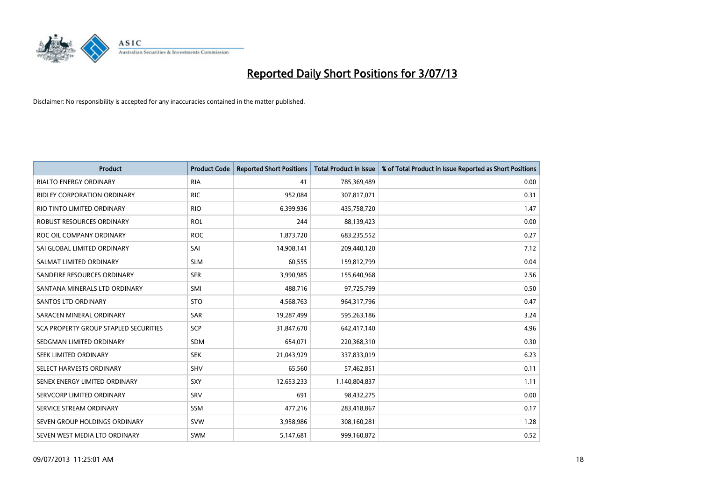

| <b>Product</b>                        | <b>Product Code</b> | <b>Reported Short Positions</b> | <b>Total Product in Issue</b> | % of Total Product in Issue Reported as Short Positions |
|---------------------------------------|---------------------|---------------------------------|-------------------------------|---------------------------------------------------------|
| <b>RIALTO ENERGY ORDINARY</b>         | <b>RIA</b>          | 41                              | 785,369,489                   | 0.00                                                    |
| <b>RIDLEY CORPORATION ORDINARY</b>    | <b>RIC</b>          | 952,084                         | 307,817,071                   | 0.31                                                    |
| RIO TINTO LIMITED ORDINARY            | <b>RIO</b>          | 6,399,936                       | 435,758,720                   | 1.47                                                    |
| <b>ROBUST RESOURCES ORDINARY</b>      | <b>ROL</b>          | 244                             | 88,139,423                    | 0.00                                                    |
| ROC OIL COMPANY ORDINARY              | <b>ROC</b>          | 1,873,720                       | 683,235,552                   | 0.27                                                    |
| SAI GLOBAL LIMITED ORDINARY           | SAI                 | 14,908,141                      | 209,440,120                   | 7.12                                                    |
| SALMAT LIMITED ORDINARY               | <b>SLM</b>          | 60,555                          | 159,812,799                   | 0.04                                                    |
| SANDFIRE RESOURCES ORDINARY           | <b>SFR</b>          | 3,990,985                       | 155,640,968                   | 2.56                                                    |
| SANTANA MINERALS LTD ORDINARY         | SMI                 | 488,716                         | 97,725,799                    | 0.50                                                    |
| SANTOS LTD ORDINARY                   | <b>STO</b>          | 4,568,763                       | 964,317,796                   | 0.47                                                    |
| SARACEN MINERAL ORDINARY              | SAR                 | 19,287,499                      | 595,263,186                   | 3.24                                                    |
| SCA PROPERTY GROUP STAPLED SECURITIES | SCP                 | 31,847,670                      | 642,417,140                   | 4.96                                                    |
| SEDGMAN LIMITED ORDINARY              | <b>SDM</b>          | 654,071                         | 220,368,310                   | 0.30                                                    |
| SEEK LIMITED ORDINARY                 | <b>SEK</b>          | 21,043,929                      | 337,833,019                   | 6.23                                                    |
| SELECT HARVESTS ORDINARY              | SHV                 | 65,560                          | 57,462,851                    | 0.11                                                    |
| SENEX ENERGY LIMITED ORDINARY         | <b>SXY</b>          | 12,653,233                      | 1,140,804,837                 | 1.11                                                    |
| SERVCORP LIMITED ORDINARY             | SRV                 | 691                             | 98,432,275                    | 0.00                                                    |
| SERVICE STREAM ORDINARY               | <b>SSM</b>          | 477,216                         | 283,418,867                   | 0.17                                                    |
| SEVEN GROUP HOLDINGS ORDINARY         | <b>SVW</b>          | 3,958,986                       | 308,160,281                   | 1.28                                                    |
| SEVEN WEST MEDIA LTD ORDINARY         | <b>SWM</b>          | 5,147,681                       | 999,160,872                   | 0.52                                                    |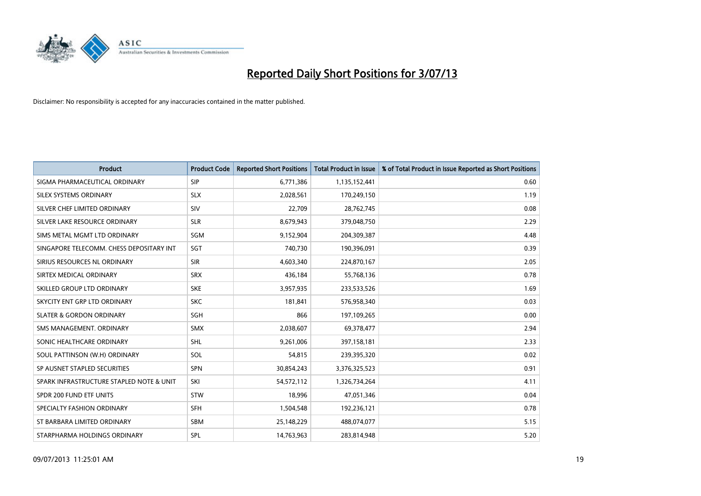

| <b>Product</b>                           | <b>Product Code</b> | <b>Reported Short Positions</b> | <b>Total Product in Issue</b> | % of Total Product in Issue Reported as Short Positions |
|------------------------------------------|---------------------|---------------------------------|-------------------------------|---------------------------------------------------------|
| SIGMA PHARMACEUTICAL ORDINARY            | <b>SIP</b>          | 6,771,386                       | 1,135,152,441                 | 0.60                                                    |
| SILEX SYSTEMS ORDINARY                   | <b>SLX</b>          | 2,028,561                       | 170,249,150                   | 1.19                                                    |
| SILVER CHEF LIMITED ORDINARY             | SIV                 | 22,709                          | 28,762,745                    | 0.08                                                    |
| SILVER LAKE RESOURCE ORDINARY            | <b>SLR</b>          | 8,679,943                       | 379,048,750                   | 2.29                                                    |
| SIMS METAL MGMT LTD ORDINARY             | SGM                 | 9,152,904                       | 204,309,387                   | 4.48                                                    |
| SINGAPORE TELECOMM. CHESS DEPOSITARY INT | <b>SGT</b>          | 740,730                         | 190,396,091                   | 0.39                                                    |
| SIRIUS RESOURCES NL ORDINARY             | <b>SIR</b>          | 4,603,340                       | 224,870,167                   | 2.05                                                    |
| SIRTEX MEDICAL ORDINARY                  | <b>SRX</b>          | 436,184                         | 55,768,136                    | 0.78                                                    |
| SKILLED GROUP LTD ORDINARY               | <b>SKE</b>          | 3,957,935                       | 233,533,526                   | 1.69                                                    |
| SKYCITY ENT GRP LTD ORDINARY             | <b>SKC</b>          | 181,841                         | 576,958,340                   | 0.03                                                    |
| <b>SLATER &amp; GORDON ORDINARY</b>      | SGH                 | 866                             | 197,109,265                   | 0.00                                                    |
| SMS MANAGEMENT, ORDINARY                 | <b>SMX</b>          | 2,038,607                       | 69,378,477                    | 2.94                                                    |
| SONIC HEALTHCARE ORDINARY                | <b>SHL</b>          | 9,261,006                       | 397,158,181                   | 2.33                                                    |
| SOUL PATTINSON (W.H) ORDINARY            | SOL                 | 54,815                          | 239,395,320                   | 0.02                                                    |
| SP AUSNET STAPLED SECURITIES             | <b>SPN</b>          | 30,854,243                      | 3,376,325,523                 | 0.91                                                    |
| SPARK INFRASTRUCTURE STAPLED NOTE & UNIT | SKI                 | 54,572,112                      | 1,326,734,264                 | 4.11                                                    |
| SPDR 200 FUND ETF UNITS                  | <b>STW</b>          | 18,996                          | 47,051,346                    | 0.04                                                    |
| SPECIALTY FASHION ORDINARY               | <b>SFH</b>          | 1,504,548                       | 192,236,121                   | 0.78                                                    |
| ST BARBARA LIMITED ORDINARY              | <b>SBM</b>          | 25,148,229                      | 488,074,077                   | 5.15                                                    |
| STARPHARMA HOLDINGS ORDINARY             | SPL                 | 14,763,963                      | 283,814,948                   | 5.20                                                    |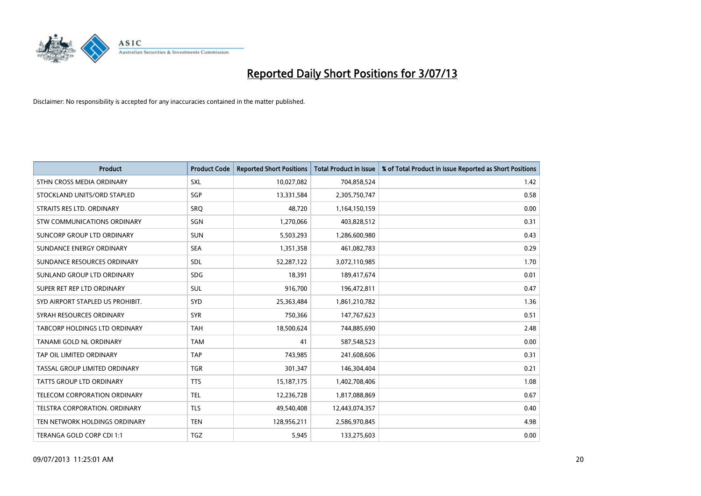

| <b>Product</b>                   | <b>Product Code</b> | <b>Reported Short Positions</b> | <b>Total Product in Issue</b> | % of Total Product in Issue Reported as Short Positions |
|----------------------------------|---------------------|---------------------------------|-------------------------------|---------------------------------------------------------|
| STHN CROSS MEDIA ORDINARY        | <b>SXL</b>          | 10,027,082                      | 704,858,524                   | 1.42                                                    |
| STOCKLAND UNITS/ORD STAPLED      | SGP                 | 13,331,584                      | 2,305,750,747                 | 0.58                                                    |
| STRAITS RES LTD. ORDINARY        | SRQ                 | 48,720                          | 1,164,150,159                 | 0.00                                                    |
| STW COMMUNICATIONS ORDINARY      | SGN                 | 1,270,066                       | 403,828,512                   | 0.31                                                    |
| SUNCORP GROUP LTD ORDINARY       | <b>SUN</b>          | 5,503,293                       | 1,286,600,980                 | 0.43                                                    |
| SUNDANCE ENERGY ORDINARY         | <b>SEA</b>          | 1,351,358                       | 461,082,783                   | 0.29                                                    |
| SUNDANCE RESOURCES ORDINARY      | SDL                 | 52,287,122                      | 3,072,110,985                 | 1.70                                                    |
| SUNLAND GROUP LTD ORDINARY       | <b>SDG</b>          | 18,391                          | 189,417,674                   | 0.01                                                    |
| SUPER RET REP LTD ORDINARY       | <b>SUL</b>          | 916,700                         | 196,472,811                   | 0.47                                                    |
| SYD AIRPORT STAPLED US PROHIBIT. | SYD                 | 25,363,484                      | 1,861,210,782                 | 1.36                                                    |
| SYRAH RESOURCES ORDINARY         | <b>SYR</b>          | 750,366                         | 147,767,623                   | 0.51                                                    |
| TABCORP HOLDINGS LTD ORDINARY    | <b>TAH</b>          | 18,500,624                      | 744,885,690                   | 2.48                                                    |
| TANAMI GOLD NL ORDINARY          | <b>TAM</b>          | 41                              | 587,548,523                   | 0.00                                                    |
| TAP OIL LIMITED ORDINARY         | <b>TAP</b>          | 743,985                         | 241,608,606                   | 0.31                                                    |
| TASSAL GROUP LIMITED ORDINARY    | <b>TGR</b>          | 301,347                         | 146,304,404                   | 0.21                                                    |
| TATTS GROUP LTD ORDINARY         | <b>TTS</b>          | 15, 187, 175                    | 1,402,708,406                 | 1.08                                                    |
| TELECOM CORPORATION ORDINARY     | <b>TEL</b>          | 12,236,728                      | 1,817,088,869                 | 0.67                                                    |
| TELSTRA CORPORATION. ORDINARY    | <b>TLS</b>          | 49,540,408                      | 12,443,074,357                | 0.40                                                    |
| TEN NETWORK HOLDINGS ORDINARY    | <b>TEN</b>          | 128,956,211                     | 2,586,970,845                 | 4.98                                                    |
| TERANGA GOLD CORP CDI 1:1        | <b>TGZ</b>          | 5,945                           | 133,275,603                   | 0.00                                                    |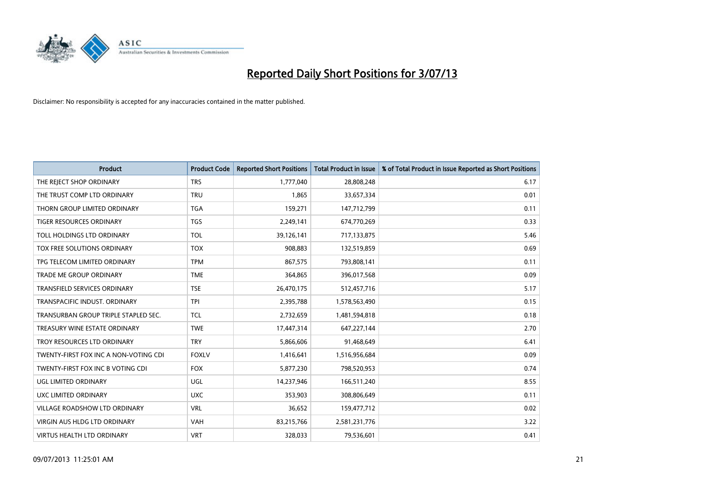

| <b>Product</b>                        | <b>Product Code</b> | <b>Reported Short Positions</b> | <b>Total Product in Issue</b> | % of Total Product in Issue Reported as Short Positions |
|---------------------------------------|---------------------|---------------------------------|-------------------------------|---------------------------------------------------------|
| THE REJECT SHOP ORDINARY              | <b>TRS</b>          | 1,777,040                       | 28,808,248                    | 6.17                                                    |
| THE TRUST COMP LTD ORDINARY           | <b>TRU</b>          | 1,865                           | 33,657,334                    | 0.01                                                    |
| THORN GROUP LIMITED ORDINARY          | <b>TGA</b>          | 159,271                         | 147,712,799                   | 0.11                                                    |
| <b>TIGER RESOURCES ORDINARY</b>       | <b>TGS</b>          | 2,249,141                       | 674,770,269                   | 0.33                                                    |
| TOLL HOLDINGS LTD ORDINARY            | <b>TOL</b>          | 39,126,141                      | 717,133,875                   | 5.46                                                    |
| TOX FREE SOLUTIONS ORDINARY           | <b>TOX</b>          | 908,883                         | 132,519,859                   | 0.69                                                    |
| TPG TELECOM LIMITED ORDINARY          | <b>TPM</b>          | 867,575                         | 793,808,141                   | 0.11                                                    |
| <b>TRADE ME GROUP ORDINARY</b>        | <b>TME</b>          | 364,865                         | 396,017,568                   | 0.09                                                    |
| <b>TRANSFIELD SERVICES ORDINARY</b>   | <b>TSE</b>          | 26,470,175                      | 512,457,716                   | 5.17                                                    |
| TRANSPACIFIC INDUST, ORDINARY         | <b>TPI</b>          | 2,395,788                       | 1,578,563,490                 | 0.15                                                    |
| TRANSURBAN GROUP TRIPLE STAPLED SEC.  | TCL                 | 2,732,659                       | 1,481,594,818                 | 0.18                                                    |
| TREASURY WINE ESTATE ORDINARY         | <b>TWE</b>          | 17,447,314                      | 647,227,144                   | 2.70                                                    |
| TROY RESOURCES LTD ORDINARY           | <b>TRY</b>          | 5,866,606                       | 91,468,649                    | 6.41                                                    |
| TWENTY-FIRST FOX INC A NON-VOTING CDI | <b>FOXLV</b>        | 1,416,641                       | 1,516,956,684                 | 0.09                                                    |
| TWENTY-FIRST FOX INC B VOTING CDI     | <b>FOX</b>          | 5,877,230                       | 798,520,953                   | 0.74                                                    |
| UGL LIMITED ORDINARY                  | UGL                 | 14,237,946                      | 166,511,240                   | 8.55                                                    |
| UXC LIMITED ORDINARY                  | <b>UXC</b>          | 353,903                         | 308,806,649                   | 0.11                                                    |
| <b>VILLAGE ROADSHOW LTD ORDINARY</b>  | <b>VRL</b>          | 36,652                          | 159,477,712                   | 0.02                                                    |
| VIRGIN AUS HLDG LTD ORDINARY          | <b>VAH</b>          | 83,215,766                      | 2,581,231,776                 | 3.22                                                    |
| <b>VIRTUS HEALTH LTD ORDINARY</b>     | <b>VRT</b>          | 328,033                         | 79,536,601                    | 0.41                                                    |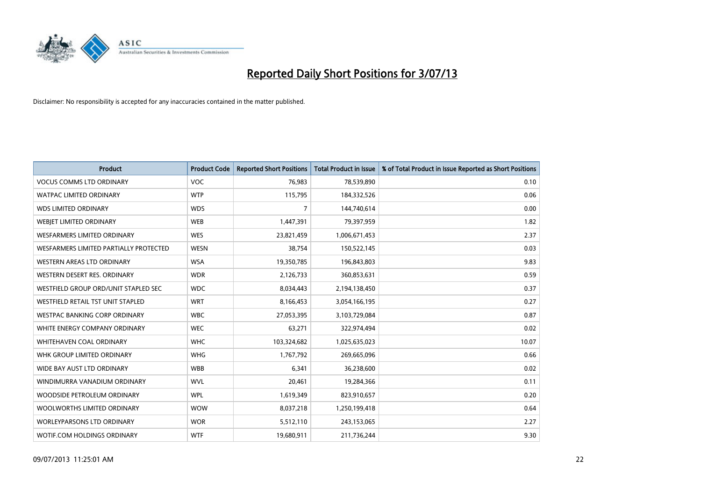

| <b>Product</b>                         | <b>Product Code</b> | <b>Reported Short Positions</b> | <b>Total Product in Issue</b> | % of Total Product in Issue Reported as Short Positions |
|----------------------------------------|---------------------|---------------------------------|-------------------------------|---------------------------------------------------------|
| <b>VOCUS COMMS LTD ORDINARY</b>        | <b>VOC</b>          | 76,983                          | 78,539,890                    | 0.10                                                    |
| <b>WATPAC LIMITED ORDINARY</b>         | <b>WTP</b>          | 115,795                         | 184,332,526                   | 0.06                                                    |
| <b>WDS LIMITED ORDINARY</b>            | <b>WDS</b>          | $\overline{7}$                  | 144,740,614                   | 0.00                                                    |
| WEBIET LIMITED ORDINARY                | <b>WEB</b>          | 1,447,391                       | 79,397,959                    | 1.82                                                    |
| <b>WESFARMERS LIMITED ORDINARY</b>     | <b>WES</b>          | 23,821,459                      | 1,006,671,453                 | 2.37                                                    |
| WESFARMERS LIMITED PARTIALLY PROTECTED | <b>WESN</b>         | 38,754                          | 150,522,145                   | 0.03                                                    |
| WESTERN AREAS LTD ORDINARY             | <b>WSA</b>          | 19,350,785                      | 196,843,803                   | 9.83                                                    |
| WESTERN DESERT RES. ORDINARY           | <b>WDR</b>          | 2,126,733                       | 360,853,631                   | 0.59                                                    |
| WESTFIELD GROUP ORD/UNIT STAPLED SEC   | <b>WDC</b>          | 8,034,443                       | 2,194,138,450                 | 0.37                                                    |
| WESTFIELD RETAIL TST UNIT STAPLED      | <b>WRT</b>          | 8,166,453                       | 3,054,166,195                 | 0.27                                                    |
| <b>WESTPAC BANKING CORP ORDINARY</b>   | <b>WBC</b>          | 27,053,395                      | 3,103,729,084                 | 0.87                                                    |
| WHITE ENERGY COMPANY ORDINARY          | <b>WEC</b>          | 63,271                          | 322,974,494                   | 0.02                                                    |
| WHITEHAVEN COAL ORDINARY               | <b>WHC</b>          | 103,324,682                     | 1,025,635,023                 | 10.07                                                   |
| WHK GROUP LIMITED ORDINARY             | <b>WHG</b>          | 1,767,792                       | 269,665,096                   | 0.66                                                    |
| WIDE BAY AUST LTD ORDINARY             | <b>WBB</b>          | 6,341                           | 36,238,600                    | 0.02                                                    |
| WINDIMURRA VANADIUM ORDINARY           | <b>WVL</b>          | 20,461                          | 19,284,366                    | 0.11                                                    |
| WOODSIDE PETROLEUM ORDINARY            | <b>WPL</b>          | 1,619,349                       | 823,910,657                   | 0.20                                                    |
| WOOLWORTHS LIMITED ORDINARY            | <b>WOW</b>          | 8,037,218                       | 1,250,199,418                 | 0.64                                                    |
| <b>WORLEYPARSONS LTD ORDINARY</b>      | <b>WOR</b>          | 5,512,110                       | 243,153,065                   | 2.27                                                    |
| WOTIF.COM HOLDINGS ORDINARY            | <b>WTF</b>          | 19,680,911                      | 211,736,244                   | 9.30                                                    |